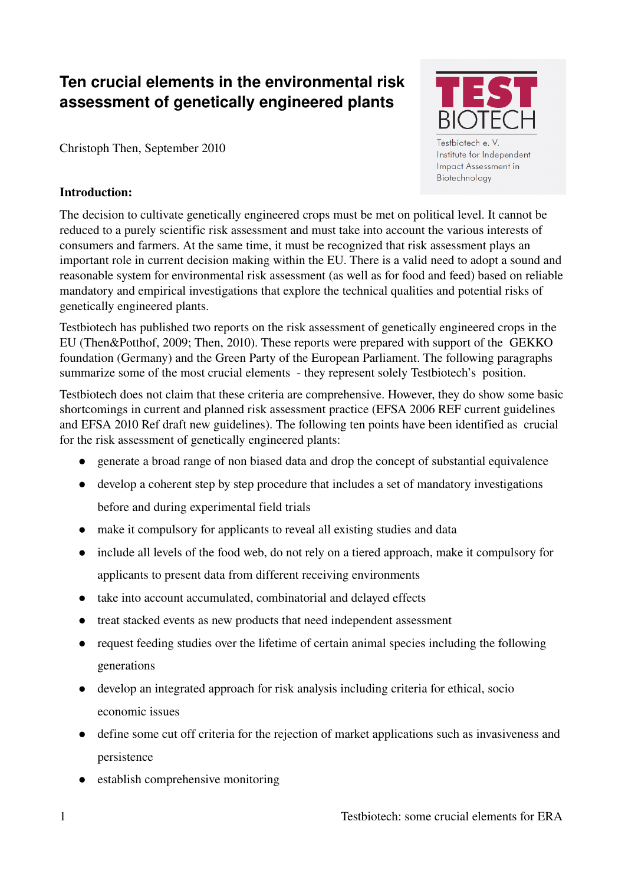# **Ten crucial elements in the environmental risk assessment of genetically engineered plants**

Christoph Then, September 2010

## Introduction:



Biotechnology

The decision to cultivate genetically engineered crops must be met on political level. It cannot be reduced to a purely scientific risk assessment and must take into account the various interests of consumers and farmers. At the same time, it must be recognized that risk assessment plays an important role in current decision making within the EU. There is a valid need to adopt a sound and reasonable system for environmental risk assessment (as well as for food and feed) based on reliable mandatory and empirical investigations that explore the technical qualities and potential risks of genetically engineered plants.

Testbiotech has published two reports on the risk assessment of genetically engineered crops in the EU (Then&Potthof, 2009; Then, 2010). These reports were prepared with support of the GEKKO foundation (Germany) and the Green Party of the European Parliament. The following paragraphs summarize some of the most crucial elements - they represent solely Testbiotech's position.

Testbiotech does not claim that these criteria are comprehensive. However, they do show some basic shortcomings in current and planned risk assessment practice (EFSA 2006 REF current guidelines and EFSA 2010 Ref draft new guidelines). The following ten points have been identified as crucial for the risk assessment of genetically engineered plants:

- generate a broad range of non biased data and drop the concept of substantial equivalence
- develop a coherent step by step procedure that includes a set of mandatory investigations before and during experimental field trials
- make it compulsory for applicants to reveal all existing studies and data
- include all levels of the food web, do not rely on a tiered approach, make it compulsory for applicants to present data from different receiving environments
- take into account accumulated, combinatorial and delayed effects
- treat stacked events as new products that need independent assessment
- request feeding studies over the lifetime of certain animal species including the following generations
- develop an integrated approach for risk analysis including criteria for ethical, socio economic issues
- define some cut off criteria for the rejection of market applications such as invasiveness and persistence
- establish comprehensive monitoring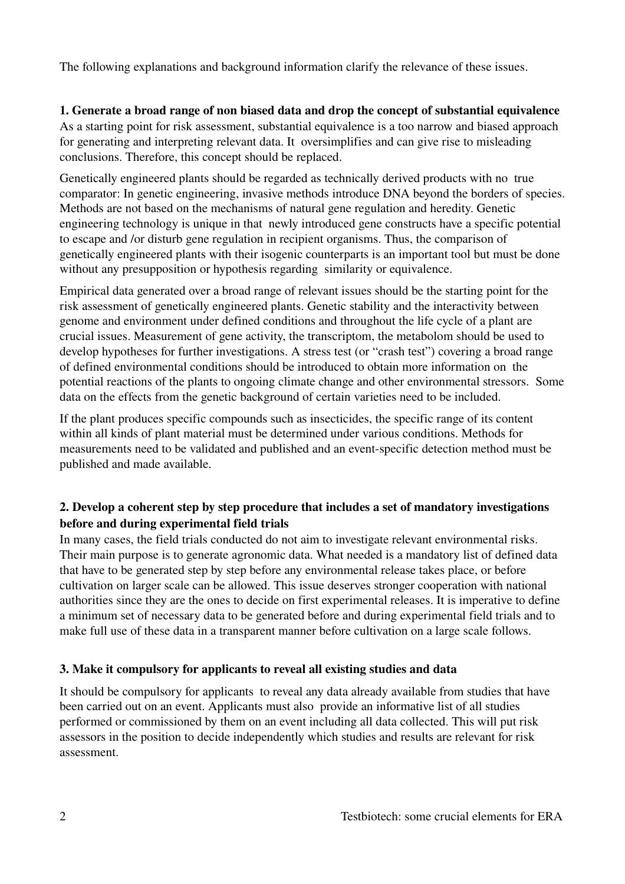The following explanations and background information clarify the relevance of these issues.

#### 1. Generate a broad range of non biased data and drop the concept of substantial equivalence

As a starting point for risk assessment, substantial equivalence is a too narrow and biased approach for generating and interpreting relevant data. It oversimplifies and can give rise to misleading conclusions. Therefore, this concept should be replaced.

Genetically engineered plants should be regarded as technically derived products with no true comparator: In genetic engineering, invasive methods introduce DNA beyond the borders of species. Methods are not based on the mechanisms of natural gene regulation and heredity. Genetic engineering technology is unique in that newly introduced gene constructs have a specific potential to escape and /or disturb gene regulation in recipient organisms. Thus, the comparison of genetically engineered plants with their isogenic counterparts is an important tool but must be done without any presupposition or hypothesis regarding similarity or equivalence.

Empirical data generated over a broad range of relevant issues should be the starting point for the risk assessment of genetically engineered plants. Genetic stability and the interactivity between genome and environment under defined conditions and throughout the life cycle of a plant are crucial issues. Measurement of gene activity, the transcriptom, the metabolom should be used to develop hypotheses for further investigations. A stress test (or "crash test") covering a broad range of defined environmental conditions should be introduced to obtain more information on the potential reactions of the plants to ongoing climate change and other environmental stressors. Some data on the effects from the genetic background of certain varieties need to be included.

If the plant produces specific compounds such as insecticides, the specific range of its content within all kinds of plant material must be determined under various conditions. Methods for measurements need to be validated and published and an event-specific detection method must be published and made available.

#### 2. Develop a coherent step by step procedure that includes a set of mandatory investigations before and during experimental field trials

In many cases, the field trials conducted do not aim to investigate relevant environmental risks. Their main purpose is to generate agronomic data. What needed is a mandatory list of defined data that have to be generated step by step before any environmental release takes place, or before cultivation on larger scale can be allowed. This issue deserves stronger cooperation with national authorities since they are the ones to decide on first experimental releases. It is imperative to define a minimum set of necessary data to be generated before and during experimental field trials and to make full use of these data in a transparent manner before cultivation on a large scale follows.

#### 3. Make it compulsory for applicants to reveal all existing studies and data

It should be compulsory for applicants to reveal any data already available from studies that have been carried out on an event. Applicants must also provide an informative list of all studies performed or commissioned by them on an event including all data collected. This will put risk assessors in the position to decide independently which studies and results are relevant for risk assessment.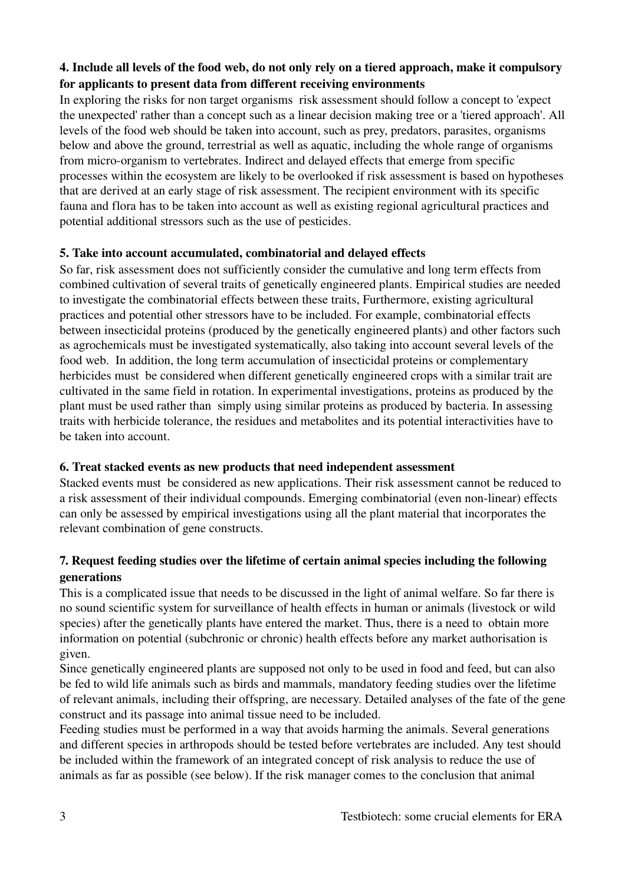# 4. Include all levels of the food web, do not only rely on a tiered approach, make it compulsory for applicants to present data from different receiving environments

In exploring the risks for non target organisms risk assessment should follow a concept to 'expect the unexpected' rather than a concept such as a linear decision making tree or a 'tiered approach'. All levels of the food web should be taken into account, such as prey, predators, parasites, organisms below and above the ground, terrestrial as well as aquatic, including the whole range of organisms from micro-organism to vertebrates. Indirect and delayed effects that emerge from specific processes within the ecosystem are likely to be overlooked if risk assessment is based on hypotheses that are derived at an early stage of risk assessment. The recipient environment with its specific fauna and flora has to be taken into account as well as existing regional agricultural practices and potential additional stressors such as the use of pesticides.

#### 5. Take into account accumulated, combinatorial and delayed effects

So far, risk assessment does not sufficiently consider the cumulative and long term effects from combined cultivation of several traits of genetically engineered plants. Empirical studies are needed to investigate the combinatorial effects between these traits, Furthermore, existing agricultural practices and potential other stressors have to be included. For example, combinatorial effects between insecticidal proteins (produced by the genetically engineered plants) and other factors such as agrochemicals must be investigated systematically, also taking into account several levels of the food web. In addition, the long term accumulation of insecticidal proteins or complementary herbicides must be considered when different genetically engineered crops with a similar trait are cultivated in the same field in rotation. In experimental investigations, proteins as produced by the plant must be used rather than simply using similar proteins as produced by bacteria. In assessing traits with herbicide tolerance, the residues and metabolites and its potential interactivities have to be taken into account.

#### 6. Treat stacked events as new products that need independent assessment

Stacked events must be considered as new applications. Their risk assessment cannot be reduced to a risk assessment of their individual compounds. Emerging combinatorial (even non-linear) effects can only be assessed by empirical investigations using all the plant material that incorporates the relevant combination of gene constructs.

## 7. Request feeding studies over the lifetime of certain animal species including the following generations

This is a complicated issue that needs to be discussed in the light of animal welfare. So far there is no sound scientific system for surveillance of health effects in human or animals (livestock or wild species) after the genetically plants have entered the market. Thus, there is a need to obtain more information on potential (subchronic or chronic) health effects before any market authorisation is given.

Since genetically engineered plants are supposed not only to be used in food and feed, but can also be fed to wild life animals such as birds and mammals, mandatory feeding studies over the lifetime of relevant animals, including their offspring, are necessary. Detailed analyses of the fate of the gene construct and its passage into animal tissue need to be included.

Feeding studies must be performed in a way that avoids harming the animals. Several generations and different species in arthropods should be tested before vertebrates are included. Any test should be included within the framework of an integrated concept of risk analysis to reduce the use of animals as far as possible (see below). If the risk manager comes to the conclusion that animal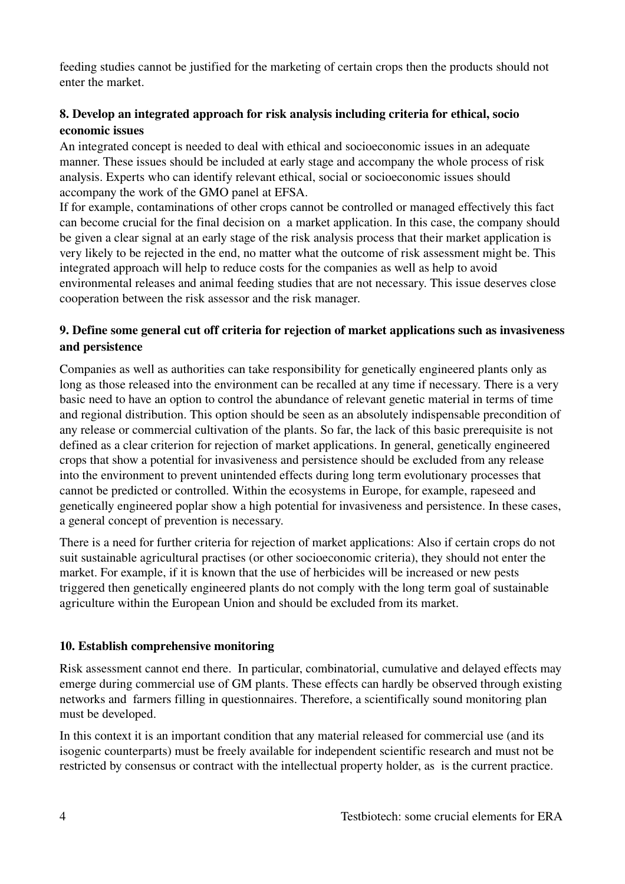feeding studies cannot be justified for the marketing of certain crops then the products should not enter the market.

## 8. Develop an integrated approach for risk analysis including criteria for ethical, socio economic issues

An integrated concept is needed to deal with ethical and socioeconomic issues in an adequate manner. These issues should be included at early stage and accompany the whole process of risk analysis. Experts who can identify relevant ethical, social or socioeconomic issues should accompany the work of the GMO panel at EFSA.

If for example, contaminations of other crops cannot be controlled or managed effectively this fact can become crucial for the final decision on a market application. In this case, the company should be given a clear signal at an early stage of the risk analysis process that their market application is very likely to be rejected in the end, no matter what the outcome of risk assessment might be. This integrated approach will help to reduce costs for the companies as well as help to avoid environmental releases and animal feeding studies that are not necessary. This issue deserves close cooperation between the risk assessor and the risk manager.

#### 9. Define some general cut off criteria for rejection of market applications such as invasiveness and persistence

Companies as well as authorities can take responsibility for genetically engineered plants only as long as those released into the environment can be recalled at any time if necessary. There is a very basic need to have an option to control the abundance of relevant genetic material in terms of time and regional distribution. This option should be seen as an absolutely indispensable precondition of any release or commercial cultivation of the plants. So far, the lack of this basic prerequisite is not defined as a clear criterion for rejection of market applications. In general, genetically engineered crops that show a potential for invasiveness and persistence should be excluded from any release into the environment to prevent unintended effects during long term evolutionary processes that cannot be predicted or controlled. Within the ecosystems in Europe, for example, rapeseed and genetically engineered poplar show a high potential for invasiveness and persistence. In these cases, a general concept of prevention is necessary.

There is a need for further criteria for rejection of market applications: Also if certain crops do not suit sustainable agricultural practises (or other socioeconomic criteria), they should not enter the market. For example, if it is known that the use of herbicides will be increased or new pests triggered then genetically engineered plants do not comply with the long term goal of sustainable agriculture within the European Union and should be excluded from its market.

#### 10. Establish comprehensive monitoring

Risk assessment cannot end there. In particular, combinatorial, cumulative and delayed effects may emerge during commercial use of GM plants. These effects can hardly be observed through existing networks and farmers filling in questionnaires. Therefore, a scientifically sound monitoring plan must be developed.

In this context it is an important condition that any material released for commercial use (and its isogenic counterparts) must be freely available for independent scientific research and must not be restricted by consensus or contract with the intellectual property holder, as is the current practice.